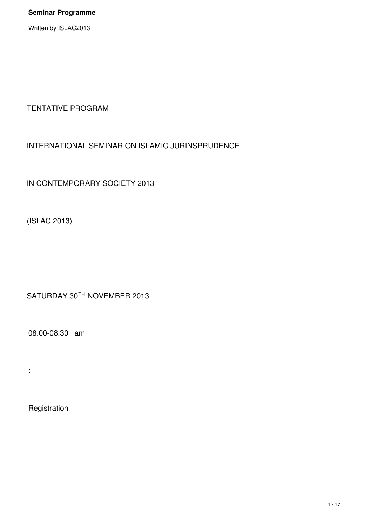TENTATIVE PROGRAM

# INTERNATIONAL SEMINAR ON ISLAMIC JURINSPRUDENCE

IN CONTEMPORARY SOCIETY 2013

(ISLAC 2013)

SATURDAY 30TH NOVEMBER 2013

08.00-08.30 am

:

Registration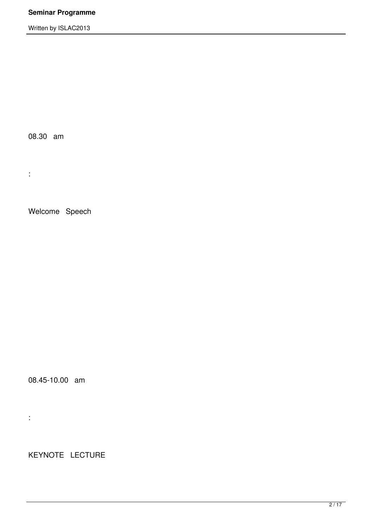08.30 am

:

Welcome Speech

08.45-10.00 am

:

KEYNOTE LECTURE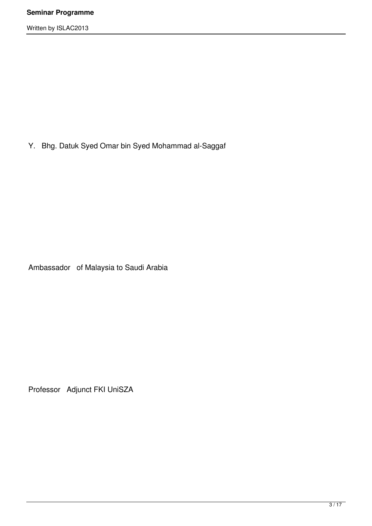Y. Bhg. Datuk Syed Omar bin Syed Mohammad al-Saggaf

Ambassador of Malaysia to Saudi Arabia

Professor Adjunct FKI UniSZA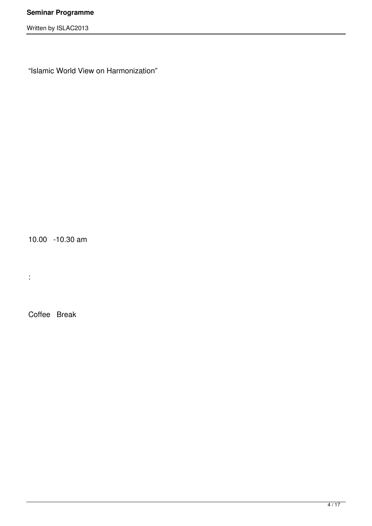"Islamic World View on Harmonization"

10.00 -10.30 am

:

Coffee Break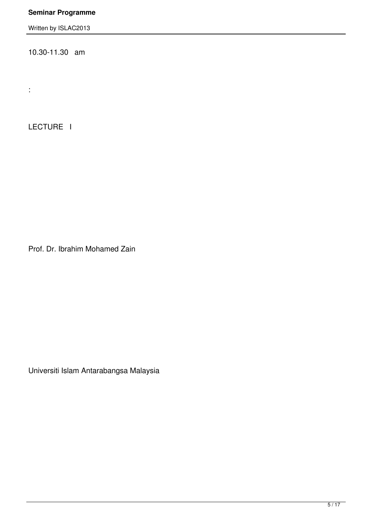Written by ISLAC2013

10.30-11.30 am

LECTURE I

:

Prof. Dr. Ibrahim Mohamed Zain

Universiti Islam Antarabangsa Malaysia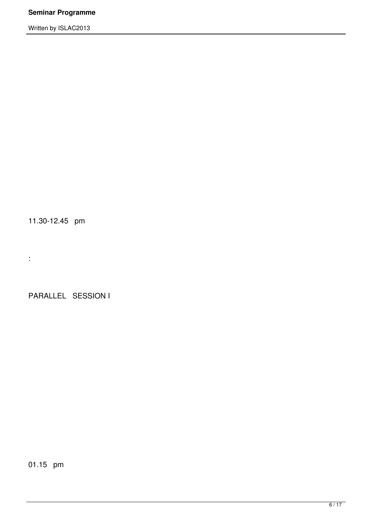11.30-12.45 pm

:

PARALLEL SESSION I

01.15 pm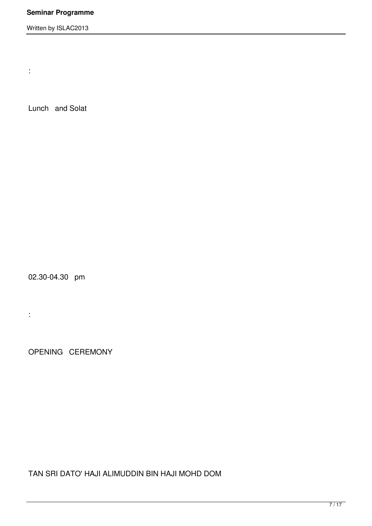Written by ISLAC2013

Lunch and Solat

:

02.30-04.30 pm

:

OPENING CEREMONY

TAN SRI DATO' HAJI ALIMUDDIN BIN HAJI MOHD DOM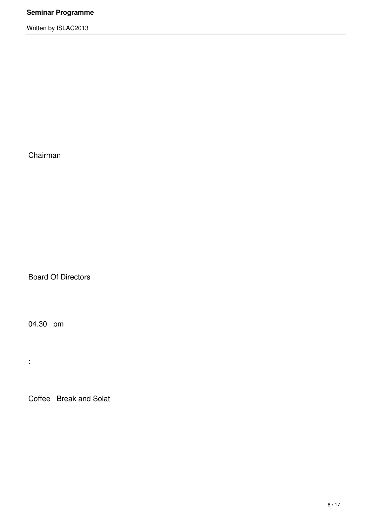Chairman

Board Of Directors

04.30 pm

:

Coffee Break and Solat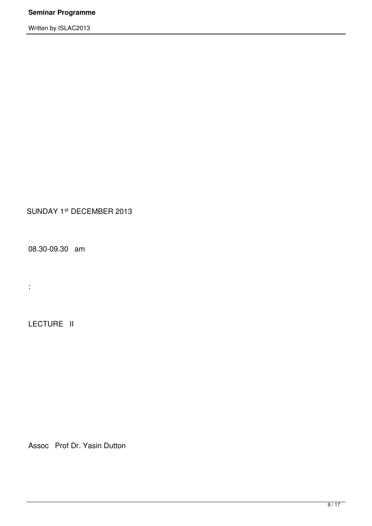# SUNDAY 1st DECEMBER 2013

08.30-09.30 am

LECTURE II

:

Assoc Prof Dr. Yasin Dutton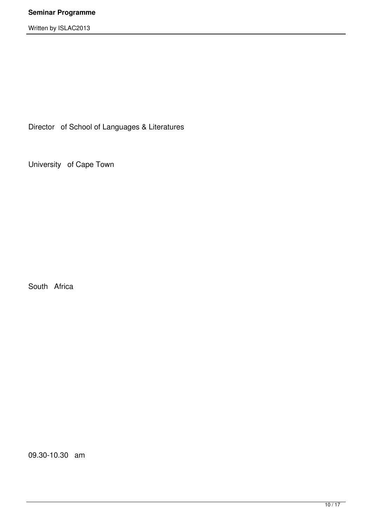Director of School of Languages & Literatures

University of Cape Town

South Africa

09.30-10.30 am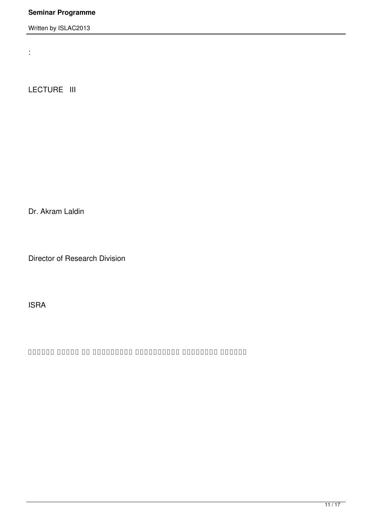Written by ISLAC2013

LECTURE III

:

Dr. Akram Laldin

Director of Research Division

ISRA

تحديديات المؤسسات المؤسسات المؤسسات المؤسسات المؤسسات المؤسسات المؤسسات المؤسسات المؤسسات الحاضر الح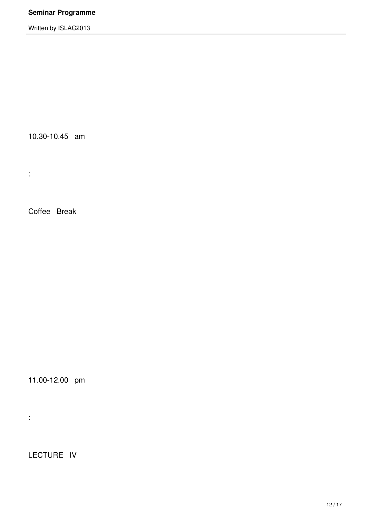10.30-10.45 am

Coffee Break

:

11.00-12.00 pm

:

LECTURE IV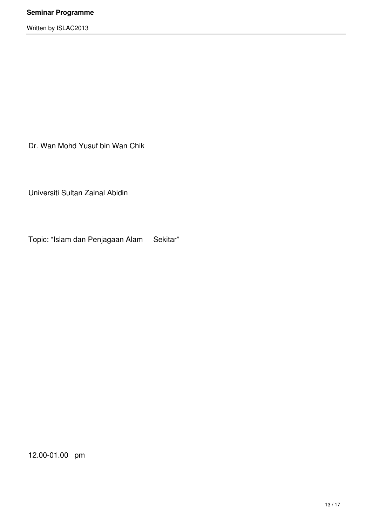Dr. Wan Mohd Yusuf bin Wan Chik

Universiti Sultan Zainal Abidin

Topic: "Islam dan Penjagaan Alam Sekitar"

12.00-01.00 pm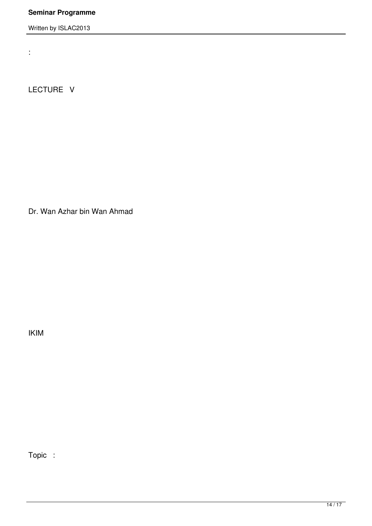Written by ISLAC2013

LECTURE V

:

Dr. Wan Azhar bin Wan Ahmad

IKIM

Topic :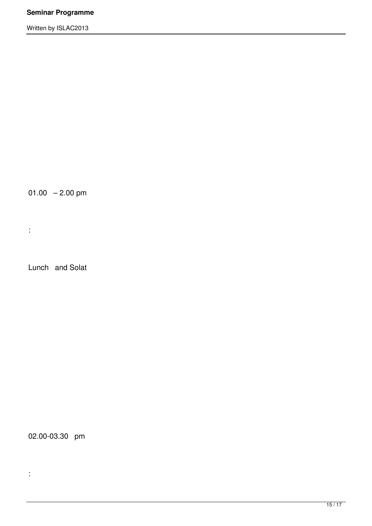$01.00 - 2.00$  pm

Lunch and Solat

:

02.00-03.30 pm

: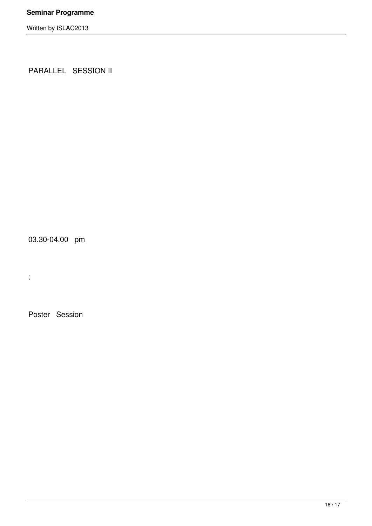PARALLEL SESSION II

03.30-04.00 pm

Poster Session

: